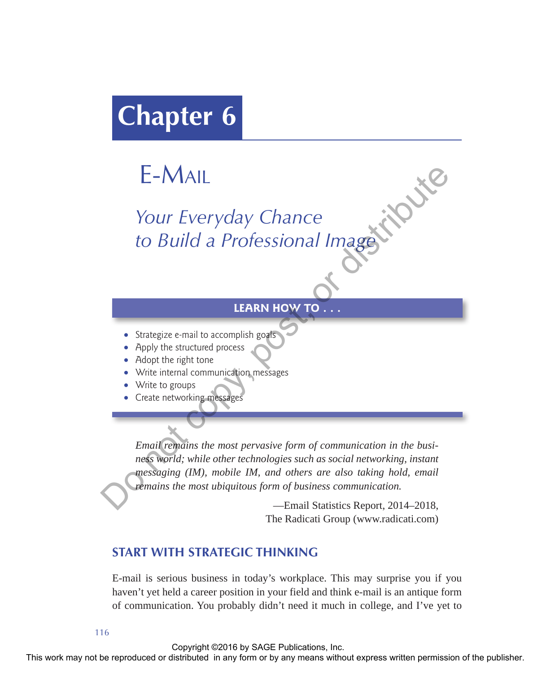# **Chapter 6**

# E-Mail

*Your Everyday Chance to Build a Professional Image*

## **LEARN HOW TO . . .**

- Strategize e-mail to accomplish goals
- Apply the structured process
- Adopt the right tone
- Write internal communication messages
- Write to groups
- Create networking messages

*Email remains the most pervasive form of communication in the business world; while other technologies such as social networking, instant messaging (IM), mobile IM, and others are also taking hold, email remains the most ubiquitous form of business communication.* E-MAIL<br>
Your Everyday Chance<br>
to Build a Professional Imaggina<br>
Strake international and the publisher or distributed in any form or<br>
Strake international angles<br>
Strake international angles<br>
Strake international angles<br>

—Email Statistics Report, 2014–2018, The Radicati Group (www.radicati.com)

## **START WITH STRATEGIC THINKING**

E-mail is serious business in today's workplace. This may surprise you if you haven't yet held a career position in your field and think e-mail is an antique form of communication. You probably didn't need it much in college, and I've yet to

Copyright ©2016 by SAGE Publications, Inc.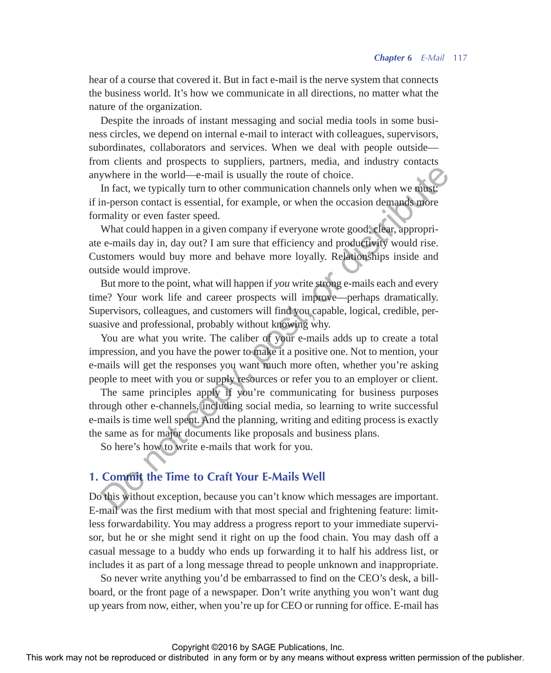#### *Chapter 6 E-Mail* 117

hear of a course that covered it. But in fact e-mail is the nerve system that connects the business world. It's how we communicate in all directions, no matter what the nature of the organization.

Despite the inroads of instant messaging and social media tools in some business circles, we depend on internal e-mail to interact with colleagues, supervisors, subordinates, collaborators and services. When we deal with people outside from clients and prospects to suppliers, partners, media, and industry contacts anywhere in the world—e-mail is usually the route of choice.

In fact, we typically turn to other communication channels only when we must if in-person contact is essential, for example, or when the occasion demands more formality or even faster speed.

What could happen in a given company if everyone wrote good, clear, appropriate e-mails day in, day out? I am sure that efficiency and productivity would rise. Customers would buy more and behave more loyally. Relationships inside and outside would improve.

But more to the point, what will happen if *you* write strong e-mails each and every time? Your work life and career prospects will improve—perhaps dramatically. Supervisors, colleagues, and customers will find you capable, logical, credible, persuasive and professional, probably without knowing why.

You are what you write. The caliber of your e-mails adds up to create a total impression, and you have the power to make it a positive one. Not to mention, your e-mails will get the responses you want much more often, whether you're asking people to meet with you or supply resources or refer you to an employer or client.

The same principles apply if you're communicating for business purposes through other e-channels, including social media, so learning to write successful e-mails is time well spent. And the planning, writing and editing process is exactly the same as for major documents like proposals and business plans.

So here's how to write e-mails that work for you.

## **1. Commit the Time to Craft Your E-Mails Well**

Do this without exception, because you can't know which messages are important. E-mail was the first medium with that most special and frightening feature: limitless forwardability. You may address a progress report to your immediate supervisor, but he or she might send it right on up the food chain. You may dash off a casual message to a buddy who ends up forwarding it to half his address list, or includes it as part of a long message thread to people unknown and inappropriate. my when the work may not be repair is usually the route of choice.<br>
This person connect is essential, for example, or when the occasion demands only when we distributed if in-person connect is essential, for example, or w

So never write anything you'd be embarrassed to find on the CEO's desk, a billboard, or the front page of a newspaper. Don't write anything you won't want dug up years from now, either, when you're up for CEO or running for office. E-mail has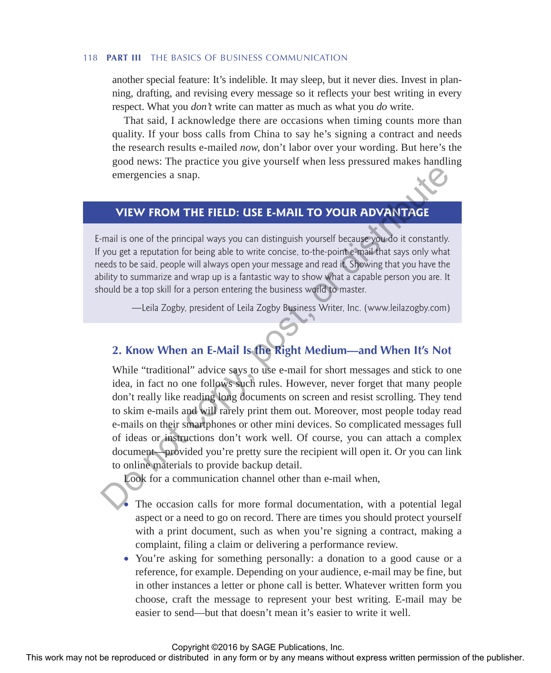another special feature: It's indelible. It may sleep, but it never dies. Invest in planning, drafting, and revising every message so it reflects your best writing in every respect. What you *don't* write can matter as much as what you *do* write.

That said, I acknowledge there are occasions when timing counts more than quality. If your boss calls from China to say he's signing a contract and needs the research results e-mailed *now,* don't labor over your wording. But here's the good news: The practice you give yourself when less pressured makes handling emergencies a snap.

### **VIEW FROM THE FIELD: USE E-MAIL TO YOUR ADVANTAGE**

E-mail is one of the principal ways you can distinguish yourself because you do it constantly. If you get a reputation for being able to write concise, to-the-point e-mail that says only what needs to be said, people will always open your message and read it. Showing that you have the ability to summarize and wrap up is a fantastic way to show what a capable person you are. It should be a top skill for a person entering the business world to master.

—Leila Zogby, president of Leila Zogby Business Writer, Inc. (www.leilazogby.com)

## **2. Know When an E-Mail Is the Right Medium—and When It's Not**

While "traditional" advice says to use e-mail for short messages and stick to one idea, in fact no one follows such rules. However, never forget that many people don't really like reading long documents on screen and resist scrolling. They tend to skim e-mails and will rarely print them out. Moreover, most people today read e-mails on their smartphones or other mini devices. So complicated messages full of ideas or instructions don't work well. Of course, you can attach a complex document—provided you're pretty sure the recipient will open it. Or you can link to online materials to provide backup detail. The constraint of the reproduced or distributed in any form or distributed in any form or by any permission of the publisher anti-<br>three parameters in any form or behavior of the publisher any form or by any what meass to

Look for a communication channel other than e-mail when,

- The occasion calls for more formal documentation, with a potential legal aspect or a need to go on record. There are times you should protect yourself with a print document, such as when you're signing a contract, making a complaint, filing a claim or delivering a performance review.
- You're asking for something personally: a donation to a good cause or a reference, for example. Depending on your audience, e-mail may be fine, but in other instances a letter or phone call is better. Whatever written form you choose, craft the message to represent your best writing. E-mail may be easier to send—but that doesn't mean it's easier to write it well.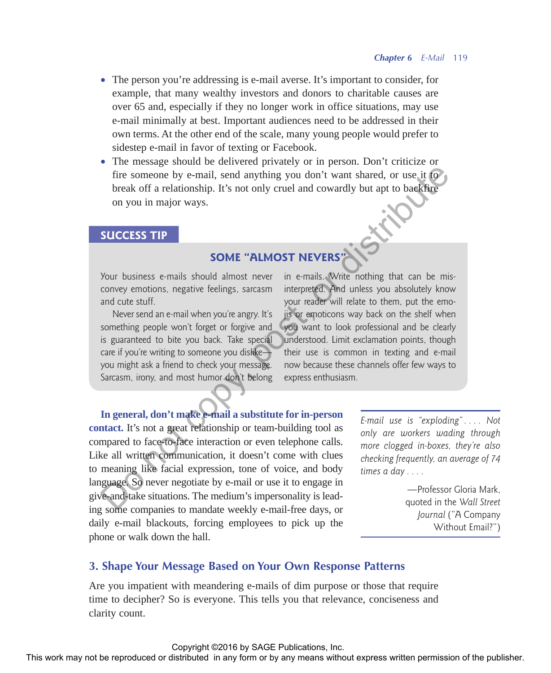- The person you're addressing is e-mail averse. It's important to consider, for example, that many wealthy investors and donors to charitable causes are over 65 and, especially if they no longer work in office situations, may use e-mail minimally at best. Important audiences need to be addressed in their own terms. At the other end of the scale, many young people would prefer to sidestep e-mail in favor of texting or Facebook.
- The message should be delivered privately or in person. Don't criticize or fire someone by e-mail, send anything you don't want shared, or use it to break off a relationship. It's not only cruel and cowardly but apt to backfire on you in major ways.

#### **SUCCESS TIP**

# **SOME "ALMOST NEVERS"**

Your business e-mails should almost never convey emotions, negative feelings, sarcasm and cute stuff.

Never send an e-mail when you're angry. It's something people won't forget or forgive and is guaranteed to bite you back. Take special care if you're writing to someone you dislike you might ask a friend to check your message. Sarcasm, irony, and most humor don't belong

in e-mails. Write nothing that can be misinterpreted. And unless you absolutely know your reader will relate to them, put the emojis or emoticons way back on the shelf when you want to look professional and be clearly understood. Limit exclamation points, though their use is common in texting and e-mail now because these channels offer few ways to express enthusiasm.

**In general, don't make e-mail a substitute for in-person contact.** It's not a great relationship or team-building tool as compared to face-to-face interaction or even telephone calls. Like all written communication, it doesn't come with clues to meaning like facial expression, tone of voice, and body language. So never negotiate by e-mail or use it to engage in give-and-take situations. The medium's impersonality is leading some companies to mandate weekly e-mail-free days, or daily e-mail blackouts, forcing employees to pick up the phone or walk down the hall. This work may not be remained any out don't want shared, or use if  $\mu$  because the reproduced or distributed in any form or by any means with the publisher.<br>
SOME "ALMOST NEVERS" SOME "ALMOST NEVERS" SOME "ALMOST NEVERS"

*E-mail use is "exploding" . . . . Not only are workers wading through more clogged in-boxes, they're also checking frequently, an average of 74 times a day . . . .*

> —Professor Gloria Mark, quoted in the *Wall Street Journal* ("A Company Without Email?")

## **3. Shape Your Message Based on Your Own Response Patterns**

Are you impatient with meandering e-mails of dim purpose or those that require time to decipher? So is everyone. This tells you that relevance, conciseness and clarity count.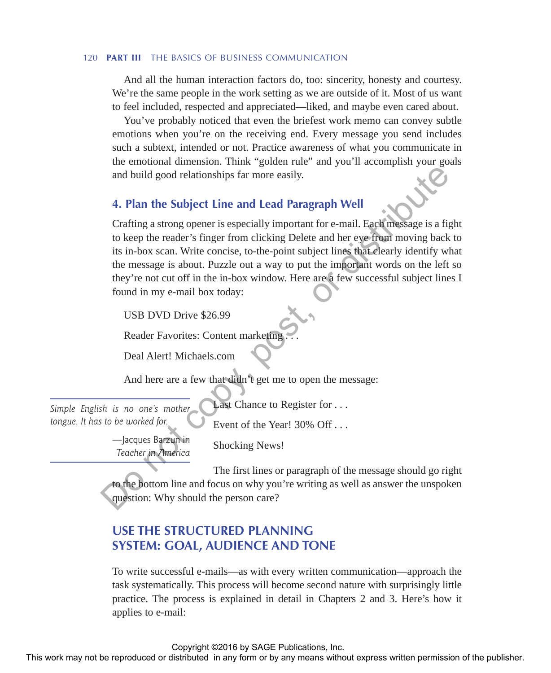And all the human interaction factors do, too: sincerity, honesty and courtesy. We're the same people in the work setting as we are outside of it. Most of us want to feel included, respected and appreciated––liked, and maybe even cared about.

You've probably noticed that even the briefest work memo can convey subtle emotions when you're on the receiving end. Every message you send includes such a subtext, intended or not. Practice awareness of what you communicate in the emotional dimension. Think "golden rule" and you'll accomplish your goals and build good relationships far more easily.

## **4. Plan the Subject Line and Lead Paragraph Well**

Crafting a strong opener is especially important for e-mail. Each message is a fight to keep the reader's finger from clicking Delete and her eye from moving back to its in-box scan. Write concise, to-the-point subject lines that clearly identify what the message is about. Puzzle out a way to put the important words on the left so they're not cut off in the in-box window. Here are a few successful subject lines I found in my e-mail box today: and build good relationships far more easily.<br>
4. Plan the Subject Line and Lead Paragraph Well<br>
Cruding a strong operaris respectively important for e-mail Lead (the algorithm) is that to keep the reader is finded in any

USB DVD Drive \$26.99

Reader Favorites: Content marketing

Deal Alert! Michaels.com

And here are a few that didn't get me to open the message:

*Simple English is no one's mother tongue. It has to be worked for.*

Last Chance to Register for . . .

Event of the Year! 30% Off...

—Jacques Barzun in *Teacher in America*

Shocking News!

The first lines or paragraph of the message should go right to the bottom line and focus on why you're writing as well as answer the unspoken question: Why should the person care?

## **USE THE STRUCTURED PLANNING SYSTEM: GOAL, AUDIENCE AND TONE**

To write successful e-mails—as with every written communication—approach the task systematically. This process will become second nature with surprisingly little practice. The process is explained in detail in Chapters 2 and 3. Here's how it applies to e-mail:

Copyright ©2016 by SAGE Publications, Inc.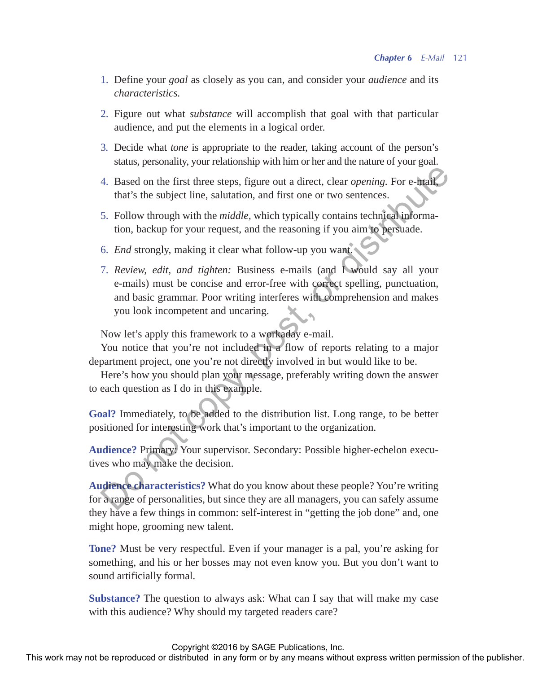- 1. Define your *goal* as closely as you can, and consider your *audience* and its *characteristics.*
- 2. Figure out what *substance* will accomplish that goal with that particular audience, and put the elements in a logical order.
- 3. Decide what *tone* is appropriate to the reader, taking account of the person's status, personality, your relationship with him or her and the nature of your goal.
- 4. Based on the first three steps, figure out a direct, clear *opening.* For e-mail, that's the subject line, salutation, and first one or two sentences.
- 5. Follow through with the *middle,* which typically contains technical information, backup for your request, and the reasoning if you aim to persuade.
- 6. *End* strongly, making it clear what follow-up you want.
- 7. *Review, edit, and tighten:* Business e-mails (and I would say all your e-mails) must be concise and error-free with correct spelling, punctuation, and basic grammar. Poor writing interferes with comprehension and makes you look incompetent and uncaring.

Now let's apply this framework to a workaday e-mail.

You notice that you're not included in a flow of reports relating to a major department project, one you're not directly involved in but would like to be.

Here's how you should plan your message, preferably writing down the answer to each question as I do in this example.

**Goal?** Immediately, to be added to the distribution list. Long range, to be better positioned for interesting work that's important to the organization.

**Audience?** Primary: Your supervisor. Secondary: Possible higher-echelon executives who may make the decision.

**Audience characteristics?** What do you know about these people? You're writing for a range of personalities, but since they are all managers, you can safely assume they have a few things in common: self-interest in "getting the job done" and, one might hope, grooming new talent. 4. Based on the first three steps, figure out a direct or ear two sentences.<br>
In this subject line, salutation, and first one or two sentences.<br>
5. Follow throughly with the *middle*, which typically contains technical un

**Tone?** Must be very respectful. Even if your manager is a pal, you're asking for something, and his or her bosses may not even know you. But you don't want to sound artificially formal.

**Substance?** The question to always ask: What can I say that will make my case with this audience? Why should my targeted readers care?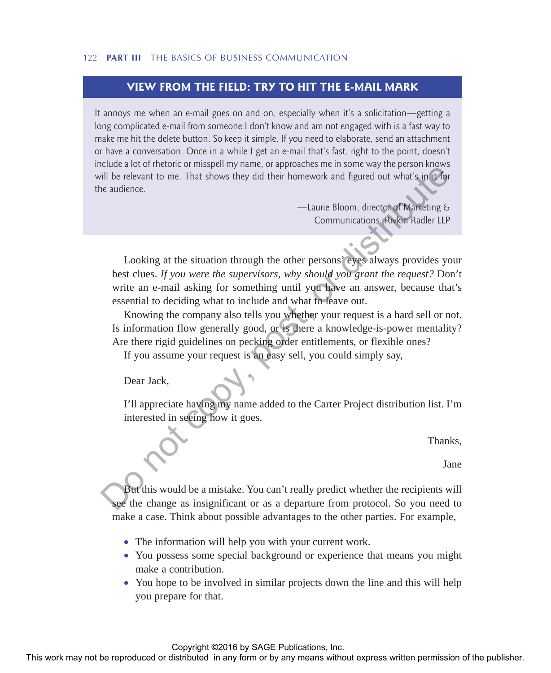#### **VIEW FROM THE FIELD: TRY TO HIT THE E-MAIL MARK**

It annoys me when an e-mail goes on and on, especially when it's a solicitation—getting a long complicated e-mail from someone I don't know and am not engaged with is a fast way to make me hit the delete button. So keep it simple. If you need to elaborate, send an attachment or have a conversation. Once in a while I get an e-mail that's fast, right to the point, doesn't include a lot of rhetoric or misspell my name, or approaches me in some way the person knows will be relevant to me. That shows they did their homework and figured out what's in it for the audience.

> —Laurie Bloom, director of Marketing & Communications, Rivkin Radler LLP

Looking at the situation through the other persons' eyes always provides your best clues. *If you were the supervisors, why should you grant the request?* Don't write an e-mail asking for something until you have an answer, because that's essential to deciding what to include and what to leave out. For the representation of the reproduced or distribution of the reproduced or distribution of the publisher or distribution of the publishers with the studies of the studies of the studies of the publisher of the publishe

Knowing the company also tells you whether your request is a hard sell or not. Is information flow generally good, or is there a knowledge-is-power mentality? Are there rigid guidelines on pecking order entitlements, or flexible ones?

If you assume your request is an easy sell, you could simply say,

Dear Jack,

I'll appreciate having my name added to the Carter Project distribution list. I'm interested in seeing how it goes.

Thanks,

Jane

But this would be a mistake. You can't really predict whether the recipients will see the change as insignificant or as a departure from protocol. So you need to make a case. Think about possible advantages to the other parties. For example,

- The information will help you with your current work.
- You possess some special background or experience that means you might make a contribution.
- You hope to be involved in similar projects down the line and this will help you prepare for that.

Copyright ©2016 by SAGE Publications, Inc.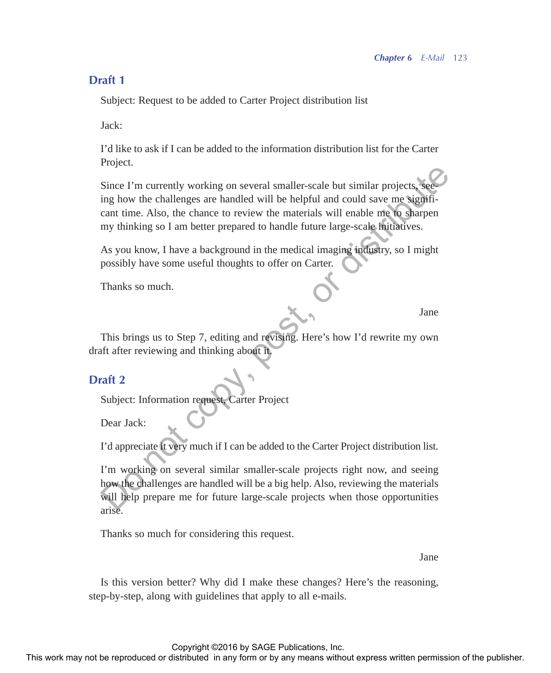## **Draft 1**

Subject: Request to be added to Carter Project distribution list

Jack:

I'd like to ask if I can be added to the information distribution list for the Carter Project.

Since I'm currently working on several smaller-scale but similar projects, ing how the challenges are handled will be helpful and could save me significant time. Also, the chance to review the materials will enable me to sharpen my thinking so I am better prepared to handle future large-scale initiatives. Fine The correct model working on several smaller scale but similar projects.<br>See ing low the challenge are handled will be helpfoul and coold save one simulations.<br>As you know. That we also be charge property to handle f

As you know, I have a background in the medical imaging industry, so I might possibly have some useful thoughts to offer on Carter.

Thanks so much.

Jane

This brings us to Step 7, editing and revising. Here's how I'd rewrite my own draft after reviewing and thinking about it.

## **Draft 2**

Subject: Information request, Carter Project

Dear Jack:

I'd appreciate it very much if I can be added to the Carter Project distribution list.

I'm working on several similar smaller-scale projects right now, and seeing how the challenges are handled will be a big help. Also, reviewing the materials will help prepare me for future large-scale projects when those opportunities arise.

Thanks so much for considering this request.

Jane

Is this version better? Why did I make these changes? Here's the reasoning, step-by-step, along with guidelines that apply to all e-mails.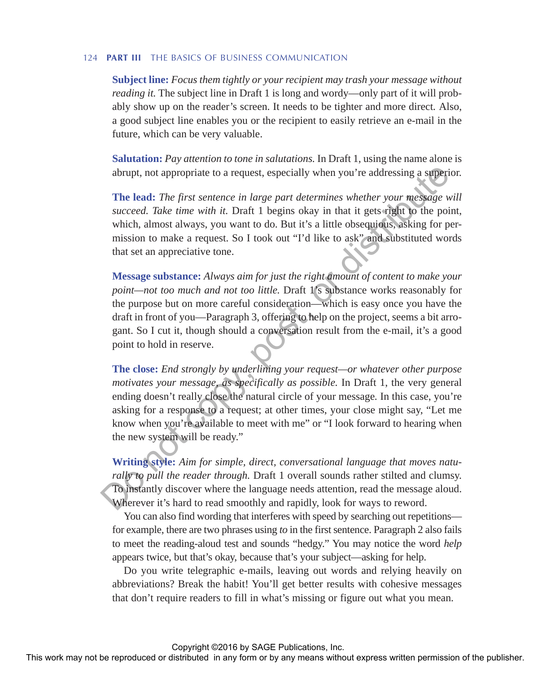**Subject line:** *Focus them tightly or your recipient may trash your message without reading it.* The subject line in Draft 1 is long and wordy—only part of it will probably show up on the reader's screen. It needs to be tighter and more direct*.* Also, a good subject line enables you or the recipient to easily retrieve an e-mail in the future, which can be very valuable.

**Salutation:** *Pay attention to tone in salutations.* In Draft 1, using the name alone is abrupt, not appropriate to a request, especially when you're addressing a superior.

**The lead:** *The first sentence in large part determines whether your message will succeed. Take time with it.* Draft 1 begins okay in that it gets right to the point, which, almost always, you want to do. But it's a little obsequious, asking for permission to make a request. So I took out "I'd like to ask" and substituted words that set an appreciative tone.

**Message substance:** *Always aim for just the right amount of content to make your point—not too much and not too little.* Draft 1's substance works reasonably for the purpose but on more careful consideration—which is easy once you have the draft in front of you—Paragraph 3, offering to help on the project, seems a bit arrogant. So I cut it, though should a conversation result from the e-mail, it's a good point to hold in reserve. abrup, not appropriate to a request, especially when yon're addressing a supporter. The leads The *firsti statter* in large part determines *whether* your means of the reproduced in any means when the same permission to m

**The close:** *End strongly by underlining your request—or whatever other purpose motivates your message, as specifically as possible.* In Draft 1, the very general ending doesn't really close the natural circle of your message*.* In this case, you're asking for a response to a request; at other times, your close might say, "Let me know when you're available to meet with me" or "I look forward to hearing when the new system will be ready."

**Writing style:** *Aim for simple, direct, conversational language that moves naturally to pull the reader through.* Draft 1 overall sounds rather stilted and clumsy. To instantly discover where the language needs attention, read the message aloud. Wherever it's hard to read smoothly and rapidly, look for ways to reword.

You can also find wording that interferes with speed by searching out repetitions for example, there are two phrases using *to* in the first sentence. Paragraph 2 also fails to meet the reading-aloud test and sounds "hedgy." You may notice the word *help* appears twice, but that's okay, because that's your subject—asking for help.

Do you write telegraphic e-mails, leaving out words and relying heavily on abbreviations? Break the habit! You'll get better results with cohesive messages that don't require readers to fill in what's missing or figure out what you mean.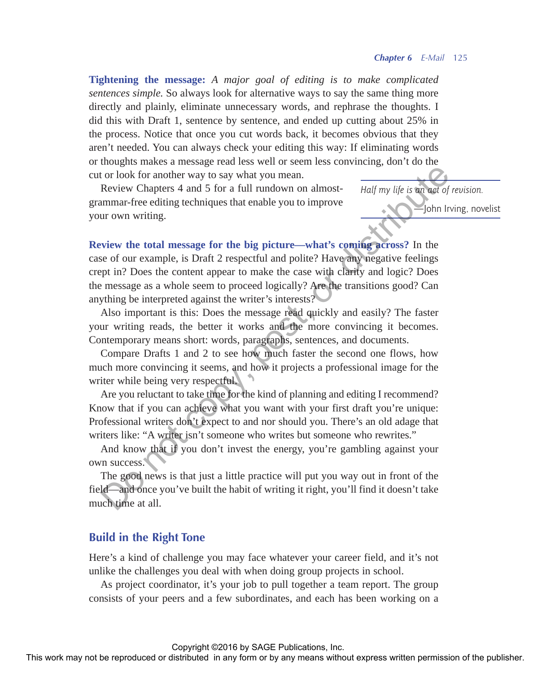**Tightening the message:** *A major goal of editing is to make complicated sentences simple.* So always look for alternative ways to say the same thing more directly and plainly, eliminate unnecessary words, and rephrase the thoughts. I did this with Draft 1, sentence by sentence, and ended up cutting about 25% in the process. Notice that once you cut words back, it becomes obvious that they aren't needed. You can always check your editing this way: If eliminating words or thoughts makes a message read less well or seem less convincing, don't do the cut or look for another way to say what you mean.

Review Chapters 4 and 5 for a full rundown on almostgrammar-free editing techniques that enable you to improve your own writing.

*Half my life is an act of revision.*  —John Irving, novelist

**Review the total message for the big picture––what's coming across?** In the case of our example, is Draft 2 respectful and polite? Have any negative feelings crept in? Does the content appear to make the case with clarity and logic? Does the message as a whole seem to proceed logically? Are the transitions good? Can anything be interpreted against the writer's interests? cure from the reproduced or distributed with the reproduced or distributed in any form or the reproduced or distributions of the publisher of the publisher of the publisher of the publishers of the respective of the conte

Also important is this: Does the message read quickly and easily? The faster your writing reads, the better it works and the more convincing it becomes. Contemporary means short: words, paragraphs, sentences, and documents.

Compare Drafts 1 and 2 to see how much faster the second one flows, how much more convincing it seems, and how it projects a professional image for the writer while being very respectful.

Are you reluctant to take time for the kind of planning and editing I recommend? Know that if you can achieve what you want with your first draft you're unique: Professional writers don't expect to and nor should you. There's an old adage that writers like: "A writer isn't someone who writes but someone who rewrites."

And know that if you don't invest the energy, you're gambling against your own success.

The good news is that just a little practice will put you way out in front of the field—and once you've built the habit of writing it right, you'll find it doesn't take much time at all.

#### **Build in the Right Tone**

Here's a kind of challenge you may face whatever your career field, and it's not unlike the challenges you deal with when doing group projects in school.

As project coordinator, it's your job to pull together a team report. The group consists of your peers and a few subordinates, and each has been working on a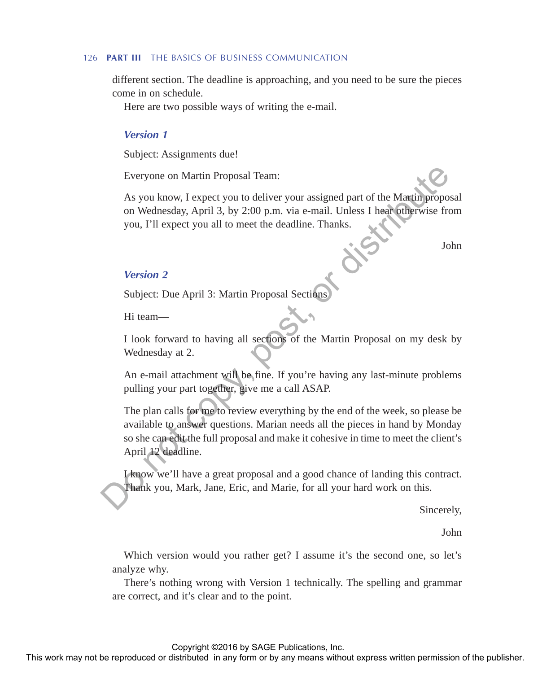different section. The deadline is approaching, and you need to be sure the pieces come in on schedule.

Here are two possible ways of writing the e-mail.

#### *Version 1*

Subject: Assignments due!

Everyone on Martin Proposal Team:

As you know, I expect you to deliver your assigned part of the Martin proposal on Wednesday, April 3, by 2:00 p.m. via e-mail. Unless I hear otherwise from you, I'll expect you all to meet the deadline. Thanks.

John

#### *Version 2*

Subject: Due April 3: Martin Proposal Sections

Hi team—

I look forward to having all sections of the Martin Proposal on my desk by Wednesday at 2.

An e-mail attachment will be fine. If you're having any last-minute problems pulling your part together, give me a call ASAP.

The plan calls for me to review everything by the end of the week, so please be available to answer questions. Marian needs all the pieces in hand by Monday so she can edit the full proposal and make it cohesive in time to meet the client's April 12 deadline. Everyone on Martin Proposal Team:<br>
As you know I, expret you to delivery your assigned part of the Martin Proposal<br>
on Wednesday, April 3, Ny 2:00 p.m. via e-mail. Unless Their form you, TII express you all to meet the de

I know we'll have a great proposal and a good chance of landing this contract. Thank you, Mark, Jane, Eric, and Marie, for all your hard work on this.

Sincerely,

John

Which version would you rather get? I assume it's the second one, so let's analyze why.

There's nothing wrong with Version 1 technically. The spelling and grammar are correct, and it's clear and to the point.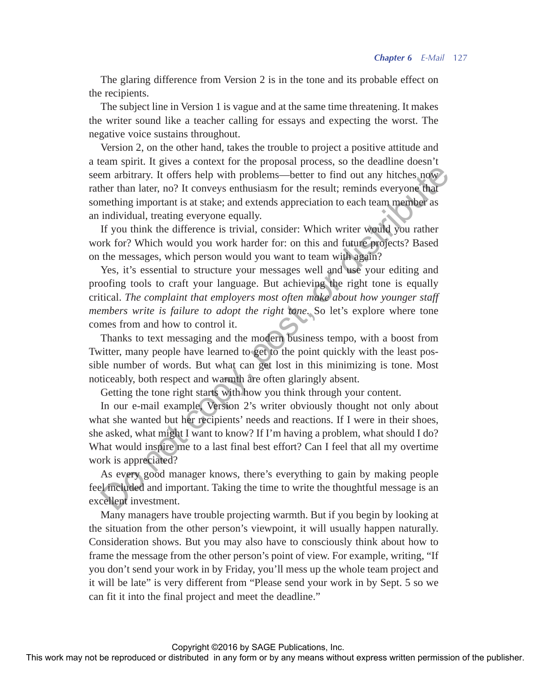The glaring difference from Version 2 is in the tone and its probable effect on the recipients.

The subject line in Version 1 is vague and at the same time threatening. It makes the writer sound like a teacher calling for essays and expecting the worst. The negative voice sustains throughout.

Version 2, on the other hand, takes the trouble to project a positive attitude and a team spirit. It gives a context for the proposal process, so the deadline doesn't seem arbitrary. It offers help with problems—better to find out any hitches now rather than later, no? It conveys enthusiasm for the result; reminds everyone that something important is at stake; and extends appreciation to each team member as an individual, treating everyone equally.

If you think the difference is trivial, consider: Which writer would you rather work for? Which would you work harder for: on this and future projects? Based on the messages, which person would you want to team with again?

Yes, it's essential to structure your messages well and use your editing and proofing tools to craft your language. But achieving the right tone is equally critical. *The complaint that employers most often make about how younger staff members write is failure to adopt the right tone.* So let's explore where tone comes from and how to control it.

Thanks to text messaging and the modern business tempo, with a boost from Twitter, many people have learned to get to the point quickly with the least possible number of words. But what can get lost in this minimizing is tone. Most noticeably, both respect and warmth are often glaringly absent.

Getting the tone right starts with how you think through your content.

In our e-mail example, Version 2's writer obviously thought not only about what she wanted but her recipients' needs and reactions. If I were in their shoes, she asked, what might I want to know? If I'm having a problem, what should I do? What would inspire me to a last final best effort? Can I feel that all my overtime work is appreciated?

As every good manager knows, there's everything to gain by making people feel included and important. Taking the time to write the thoughtful message is an excellent investment.

Many managers have trouble projecting warmth. But if you begin by looking at the situation from the other person's viewpoint, it will usually happen naturally. Consideration shows. But you may also have to consciously think about how to frame the message from the other person's point of view. For example, writing, "If you don't send your work in by Friday, you'll mess up the whole team project and it will be late" is very different from "Please send your work in by Sept. 5 so we can fit it into the final project and meet the deadline." seen actionary. In others help with problems—better to find out any bitches gives written and the reproduced or distributed in any form or the publisher or or the studies of the reproduced in the reproduced in any form or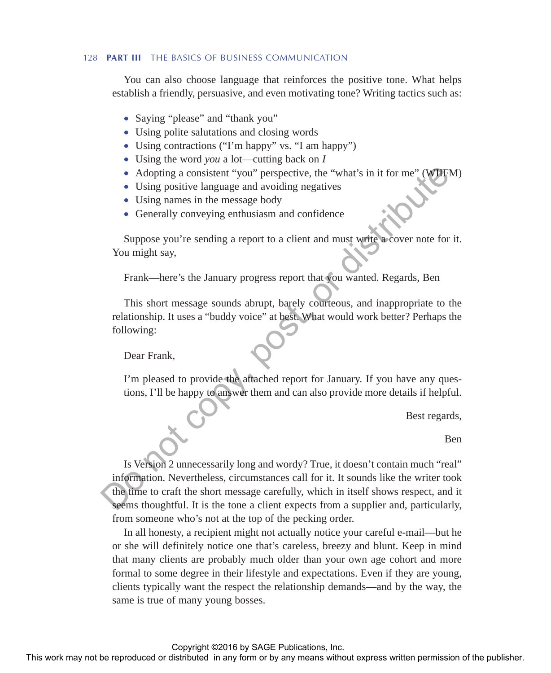You can also choose language that reinforces the positive tone. What helps establish a friendly, persuasive, and even motivating tone? Writing tactics such as:

- Saying "please" and "thank you"
- Using polite salutations and closing words
- Using contractions ("I'm happy" vs. "I am happy")
- Using the word *you* a lot––cutting back on *I*
- Adopting a consistent "you" perspective, the "what's in it for me" (WIIFM)
- Using positive language and avoiding negatives
- Using names in the message body
- Generally conveying enthusiasm and confidence

Suppose you're sending a report to a client and must write a cover note for it. You might say,

Frank—here's the January progress report that you wanted. Regards, Ben

This short message sounds abrupt, barely courteous, and inappropriate to the relationship. It uses a "buddy voice" at best. What would work better? Perhaps the following:

#### Dear Frank,

I'm pleased to provide the attached report for January. If you have any questions, I'll be happy to answer them and can also provide more details if helpful.

Best regards,

Ben

Is Version 2 unnecessarily long and wordy? True, it doesn't contain much "real" information. Nevertheless, circumstances call for it. It sounds like the writer took the time to craft the short message carefully, which in itself shows respect, and it seems thoughtful. It is the tone a client expects from a supplier and, particularly, from someone who's not at the top of the pecking order.

In all honesty, a recipient might not actually notice your careful e-mail—but he or she will definitely notice one that's careless, breezy and blunt. Keep in mind that many clients are probably much older than your own age cohort and more formal to some degree in their lifestyle and expectations. Even if they are young, clients typically want the respect the relationship demands—and by the way, the same is true of many young bosses. **•** Adopting consisted. The publishering consisted, the "what's in if for an<br>"Using positive language and be message body<br>**•** Greenally conversing a mission and confidence<br>**Suppose you're sending a report to a client and**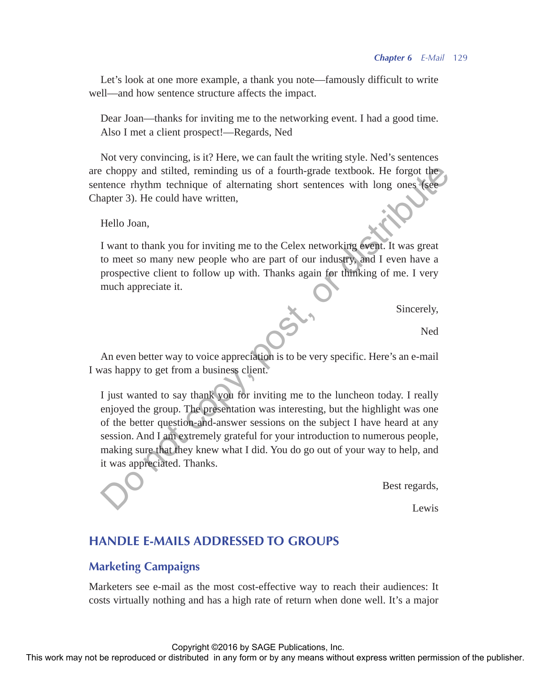Let's look at one more example, a thank you note—famously difficult to write well––and how sentence structure affects the impact.

Dear Joan—thanks for inviting me to the networking event. I had a good time. Also I met a client prospect!—Regards, Ned

Not very convincing, is it? Here, we can fault the writing style. Ned's sentences are choppy and stilted, reminding us of a fourth-grade textbook. He forgot the sentence rhythm technique of alternating short sentences with long ones (see Chapter 3). He could have written,

Hello Joan,

I want to thank you for inviting me to the Celex networking event. It was great to meet so many new people who are part of our industry, and I even have a prospective client to follow up with. Thanks again for thinking of me. I very much appreciate it.

Sincerely,

Ned

An even better way to voice appreciation is to be very specific. Here's an e-mail I was happy to get from a business client.

I just wanted to say thank you for inviting me to the luncheon today. I really enjoyed the group. The presentation was interesting, but the highlight was one of the better question-and-answer sessions on the subject I have heard at any session. And I am extremely grateful for your introduction to numerous people, making sure that they knew what I did. You do go out of your way to help, and it was appreciated. Thanks. The two may not be reproduced or distributed in any form or by any means with permission. The could have virtue the reproduced in any form or by any form or by any form or by any form or by any means to mean to many now pe

Best regards,

Lewis

## **HANDLE E-MAILS ADDRESSED TO GROUPS**

### **Marketing Campaigns**

Marketers see e-mail as the most cost-effective way to reach their audiences: It costs virtually nothing and has a high rate of return when done well. It's a major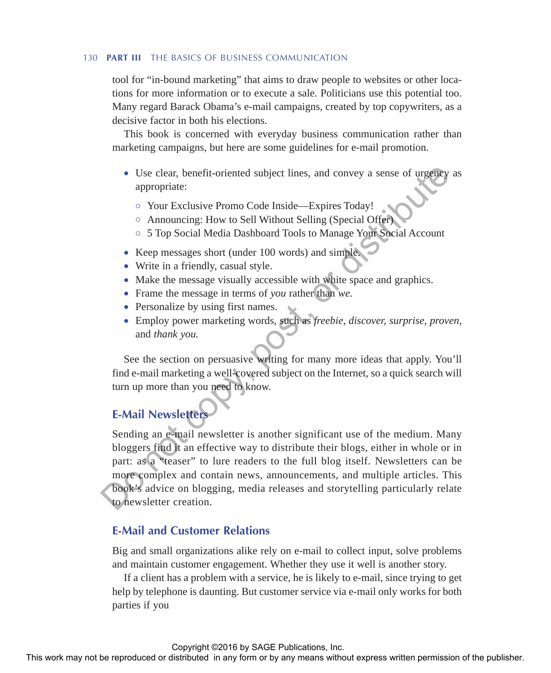tool for "in-bound marketing" that aims to draw people to websites or other locations for more information or to execute a sale. Politicians use this potential too. Many regard Barack Obama's e-mail campaigns, created by top copywriters, as a decisive factor in both his elections.

This book is concerned with everyday business communication rather than marketing campaigns, but here are some guidelines for e-mail promotion.

- Use clear, benefit-oriented subject lines, and convey a sense of urgency as appropriate:
	- { Your Exclusive Promo Code Inside—Expires Today!
	- $\circ$  Announcing: How to Sell Without Selling (Special Offer)
	- { 5 Top Social Media Dashboard Tools to Manage Your Social Account
- Keep messages short (under 100 words) and simple.
- Write in a friendly, casual style.
- Make the message visually accessible with white space and graphics.
- Frame the message in terms of *you* rather than *we.*
- Personalize by using first names.
- Employ power marketing words, such as *freebie, discover, surprise, proven,* and *thank you.*

See the section on persuasive writing for many more ideas that apply. You'll find e-mail marketing a well-covered subject on the Internet, so a quick search will turn up more than you need to know.

# **E-Mail Newsletters**

Sending an e-mail newsletter is another significant use of the medium. Many bloggers find it an effective way to distribute their blogs, either in whole or in part: as a "teaser" to lure readers to the full blog itself. Newsletters can be more complex and contain news, announcements, and multiple articles. This book's advice on blogging, media releases and storytelling particularly relate to newsletter creation. **The reproduced or distributed or distributed in any form or the representation of the representation or distributed in Consequential in any When the publisher (Special Orientation Conservance or May Moscoul and Supply Co** 

## **E-Mail and Customer Relations**

Big and small organizations alike rely on e-mail to collect input, solve problems and maintain customer engagement. Whether they use it well is another story.

If a client has a problem with a service, he is likely to e-mail, since trying to get help by telephone is daunting. But customer service via e-mail only works for both parties if you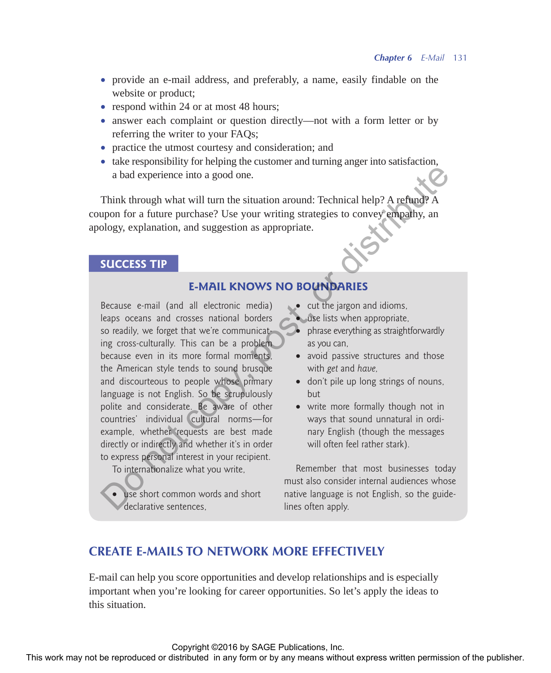- provide an e-mail address, and preferably, a name, easily findable on the website or product:
- respond within 24 or at most 48 hours;
- answer each complaint or question directly—not with a form letter or by referring the writer to your FAQs;
- practice the utmost courtesy and consideration; and
- take responsibility for helping the customer and turning anger into satisfaction, a bad experience into a good one.

Think through what will turn the situation around: Technical help? A refund? A coupon for a future purchase? Use your writing strategies to convey empathy, an apology, explanation, and suggestion as appropriate.

#### **SUCCESS TIP**

## **E-MAIL KNOWS NO BOUNDARIES**

Because e-mail (and all electronic media) leaps oceans and crosses national borders so readily, we forget that we're communicating cross-culturally. This can be a problem because even in its more formal moments, the American style tends to sound brusque and discourteous to people whose primary language is not English. So be scrupulously polite and considerate. Be aware of other countries' individual cultural norms—for example, whether requests are best made directly or indirectly and whether it's in order to express personal interest in your recipient. This work may not be signal counterposed or distributed in any form or by analogue of the reproduced or distributed in any form or by any means with  $\epsilon$  and  $\epsilon$  and  $\epsilon$  and  $\epsilon$  and  $\epsilon$  and  $\epsilon$  and  $\epsilon$  any  $\epsilon$  and

To internationalize what you write,

use short common words and short declarative sentences

- cut the jargon and idioms,
- use lists when appropriate,
- phrase everything as straightforwardly as you can,
- avoid passive structures and those with *get* and *have,*
- don't pile up long strings of nouns, but
- write more formally though not in ways that sound unnatural in ordinary English (though the messages will often feel rather stark).

Remember that most businesses today must also consider internal audiences whose native language is not English, so the guidelines often apply.

## **CREATE E-MAILS TO NETWORK MORE EFFECTIVELY**

E-mail can help you score opportunities and develop relationships and is especially important when you're looking for career opportunities. So let's apply the ideas to this situation.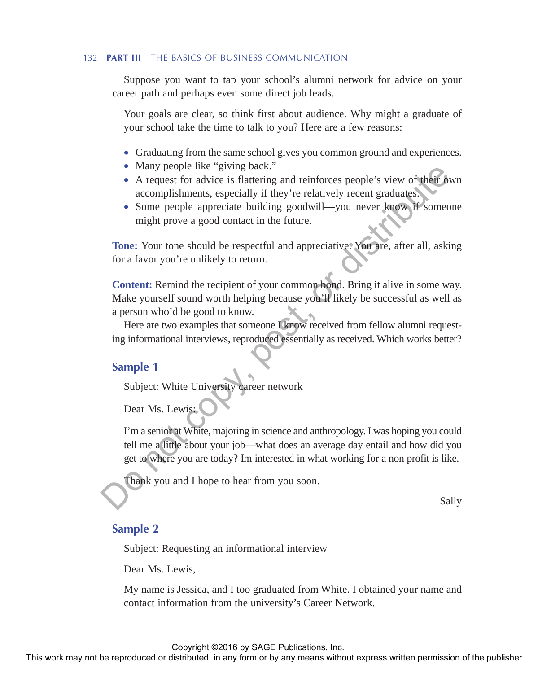Suppose you want to tap your school's alumni network for advice on your career path and perhaps even some direct job leads.

Your goals are clear, so think first about audience. Why might a graduate of your school take the time to talk to you? Here are a few reasons:

- Graduating from the same school gives you common ground and experiences.
- Many people like "giving back."
- A request for advice is flattering and reinforces people's view of their own accomplishments, especially if they're relatively recent graduates.
- Some people appreciate building goodwill—you never know if someone might prove a good contact in the future.

**Tone:** Your tone should be respectful and appreciative. You are, after all, asking for a favor you're unlikely to return.

**Content:** Remind the recipient of your common bond. Bring it alive in some way. Make yourself sound worth helping because you'll likely be successful as well as a person who'd be good to know. • Painty postel and reproduced or distributed in each complete that the publisher.<br>
• A request for a slower permit butted in the procedure growth and the sequential or the sequential permit of the produced or distributed

Here are two examples that someone I know received from fellow alumni requesting informational interviews, reproduced essentially as received. Which works better?

#### **Sample 1**

Subject: White University career network

Dear Ms. Lewis:

I'm a senior at White, majoring in science and anthropology. I was hoping you could tell me a little about your job—what does an average day entail and how did you get to where you are today? Im interested in what working for a non profit is like.

Thank you and I hope to hear from you soon.

Sally

#### **Sample 2**

Subject: Requesting an informational interview

Dear Ms. Lewis,

My name is Jessica, and I too graduated from White. I obtained your name and contact information from the university's Career Network.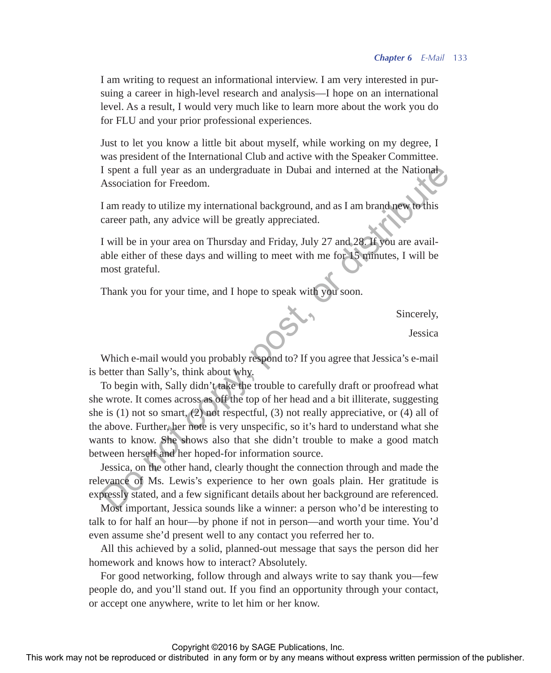#### *Chapter 6 E-Mail* 133

I am writing to request an informational interview. I am very interested in pursuing a career in high-level research and analysis—I hope on an international level. As a result, I would very much like to learn more about the work you do for FLU and your prior professional experiences.

Just to let you know a little bit about myself, while working on my degree, I was president of the International Club and active with the Speaker Committee. I spent a full year as an undergraduate in Dubai and interned at the National Association for Freedom.

I am ready to utilize my international background, and as I am brand new to this career path, any advice will be greatly appreciated.

I will be in your area on Thursday and Friday, July 27 and 28. If you are available either of these days and willing to meet with me for 15 minutes, I will be most grateful.

Thank you for your time, and I hope to speak with you soon.

Sincerely,

Jessica

Which e-mail would you probably respond to? If you agree that Jessica's e-mail is better than Sally's, think about why.

To begin with, Sally didn't take the trouble to carefully draft or proofread what she wrote. It comes across as off the top of her head and a bit illiterate, suggesting she is (1) not so smart, (2) not respectful, (3) not really appreciative, or (4) all of the above. Further, her note is very unspecific, so it's hard to understand what she wants to know. She shows also that she didn't trouble to make a good match between herself and her hoped-for information source. I spectra in full year as an undergraduate in Dubia and interned at the National-<br>
I am ready to utilize my international background, and as I am branchapewall<br>
This career publishes are on Thursday and Friday, July 27 an

Jessica, on the other hand, clearly thought the connection through and made the relevance of Ms. Lewis's experience to her own goals plain. Her gratitude is expressly stated, and a few significant details about her background are referenced.

Most important, Jessica sounds like a winner: a person who'd be interesting to talk to for half an hour—by phone if not in person—and worth your time. You'd even assume she'd present well to any contact you referred her to.

All this achieved by a solid, planned-out message that says the person did her homework and knows how to interact? Absolutely.

For good networking, follow through and always write to say thank you—few people do, and you'll stand out. If you find an opportunity through your contact, or accept one anywhere, write to let him or her know.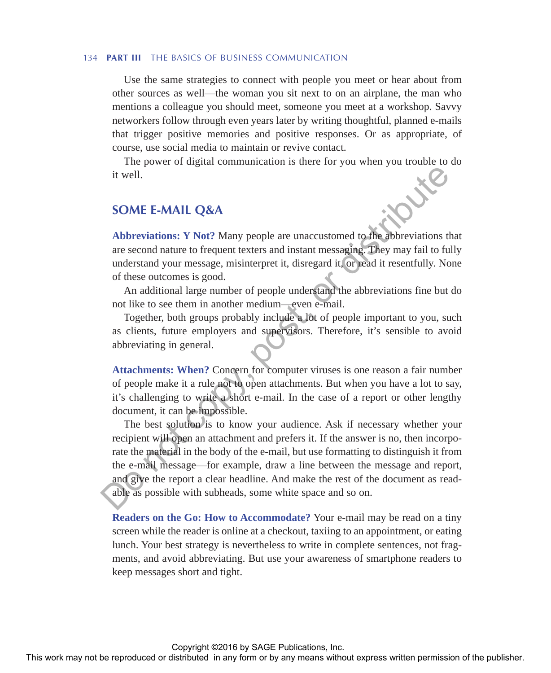Use the same strategies to connect with people you meet or hear about from other sources as well—the woman you sit next to on an airplane, the man who mentions a colleague you should meet, someone you meet at a workshop. Savvy networkers follow through even years later by writing thoughtful, planned e-mails that trigger positive memories and positive responses. Or as appropriate, of course, use social media to maintain or revive contact.

The power of digital communication is there for you when you trouble to do it well.

## **SOME E-MAIL Q&A**

**Abbreviations: Y Not?** Many people are unaccustomed to the abbreviations that are second nature to frequent texters and instant messaging. They may fail to fully understand your message, misinterpret it, disregard it, or read it resentfully. None of these outcomes is good.

An additional large number of people understand the abbreviations fine but do not like to see them in another medium—even e-mail.

Together, both groups probably include a lot of people important to you, such as clients, future employers and supervisors. Therefore, it's sensible to avoid abbreviating in general.

**Attachments: When?** Concern for computer viruses is one reason a fair number of people make it a rule not to open attachments. But when you have a lot to say, it's challenging to write a short e-mail. In the case of a report or other lengthy document, it can be impossible.

The best solution is to know your audience. Ask if necessary whether your recipient will open an attachment and prefers it. If the answer is no, then incorporate the material in the body of the e-mail, but use formatting to distinguish it from the e-mail message—for example, draw a line between the message and report, and give the report a clear headline. And make the rest of the document as readable as possible with subheads, some white space and so on. It well.<br>
SOME E-MAIL Q&A<br>
Abbreviations: Y Not? Many people are unaccussomed for the publisher<br>various that are second nature in means the reproduction of the community. None<br>
or these outcomes is good.<br>
A madditional la

**Readers on the Go: How to Accommodate?** Your e-mail may be read on a tiny screen while the reader is online at a checkout, taxiing to an appointment, or eating lunch. Your best strategy is nevertheless to write in complete sentences, not fragments, and avoid abbreviating. But use your awareness of smartphone readers to keep messages short and tight.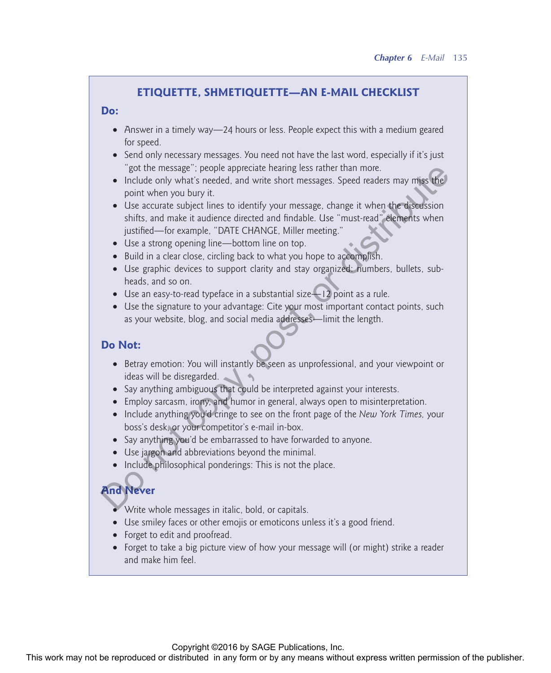## **ETIQUETTE, SHMETIQUETTE—AN E-MAIL CHECKLIST**

#### **Do:**

- Answer in a timely way—24 hours or less. People expect this with a medium geared for speed.
- Send only necessary messages. You need not have the last word, especially if it's just "got the message"; people appreciate hearing less rather than more.
- Include only what's needed, and write short messages. Speed readers may miss the point when you bury it.
- Use accurate subject lines to identify your message, change it when the discussion shifts, and make it audience directed and findable. Use "must-read" elements when justified—for example, "DATE CHANGE, Miller meeting." This work may not be reproduced or distributed in any form or by any means without any might of the recent means and permission of the reproduced and interest any might of the minimum intervalse. Using the remains and per
	- Use a strong opening line—bottom line on top.
	- Build in a clear close, circling back to what you hope to accomplish.
	- Use graphic devices to support clarity and stay organized: numbers, bullets, subheads, and so on.
	- Use an easy-to-read typeface in a substantial size—12 point as a rule.
	- Use the signature to your advantage: Cite your most important contact points, such as your website, blog, and social media addresses—limit the length.

## **Do Not:**

- Betray emotion: You will instantly be seen as unprofessional, and your viewpoint or ideas will be disregarded.
- Say anything ambiguous that could be interpreted against your interests.
- Employ sarcasm, irony, and humor in general, always open to misinterpretation.
- Include anything you'd cringe to see on the front page of the *New York Times,* your boss's desk, or your competitor's e-mail in-box.
- Say anything you'd be embarrassed to have forwarded to anyone.
- Use jargon and abbreviations beyond the minimal.
- Include philosophical ponderings: This is not the place.

# **And Never**

- Write whole messages in italic, bold, or capitals.
- Use smiley faces or other emojis or emoticons unless it's a good friend.
- Forget to edit and proofread.
- Forget to take a big picture view of how your message will (or might) strike a reader and make him feel.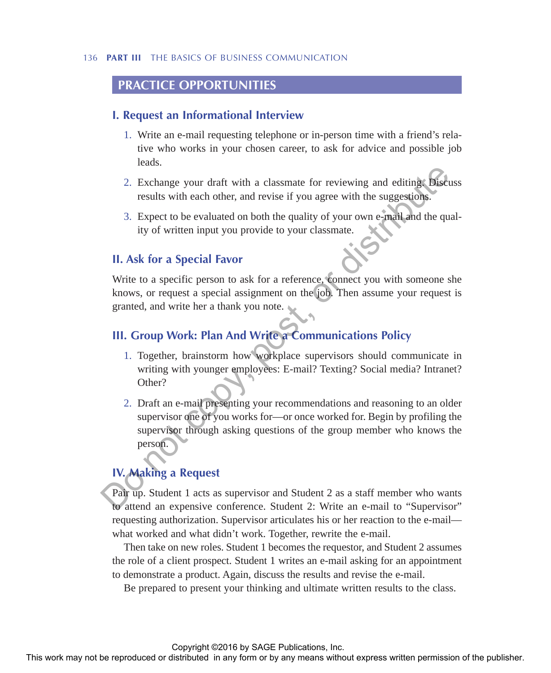## **PRACTICE OPPORTUNITIES**

#### **I. Request an Informational Interview**

- 1. Write an e-mail requesting telephone or in-person time with a friend's relative who works in your chosen career, to ask for advice and possible job leads.
- 2. Exchange your draft with a classmate for reviewing and editing. Discuss results with each other, and revise if you agree with the suggestions.
- 3. Expect to be evaluated on both the quality of your own e-mail and the quality of written input you provide to your classmate.

## **II. Ask for a Special Favor**

Write to a specific person to ask for a reference, connect you with someone she knows, or request a special assignment on the job. Then assume your request is granted, and write her a thank you note.

# **III. Group Work: Plan And Write a Communications Policy**

- 1. Together, brainstorm how workplace supervisors should communicate in writing with younger employees: E-mail? Texting? Social media? Intranet? Other?
- 2. Draft an e-mail presenting your recommendations and reasoning to an older supervisor one of you works for—or once worked for. Begin by profiling the supervisor through asking questions of the group member who knows the person.

# **IV. Making a Request**

Pair up. Student 1 acts as supervisor and Student 2 as a staff member who wants to attend an expensive conference. Student 2: Write an e-mail to "Supervisor" requesting authorization. Supervisor articulates his or her reaction to the e-mail what worked and what didn't work. Together, rewrite the e-mail. 2. Exchange your draft with a classmate for reviewing and editing Knokus results with each other, and revise if you agree with the suggestions.<br>
3. Expect to be evaluated on both the quality of your or by any express with

Then take on new roles. Student 1 becomes the requestor, and Student 2 assumes the role of a client prospect. Student 1 writes an e-mail asking for an appointment to demonstrate a product. Again, discuss the results and revise the e-mail.

Be prepared to present your thinking and ultimate written results to the class.